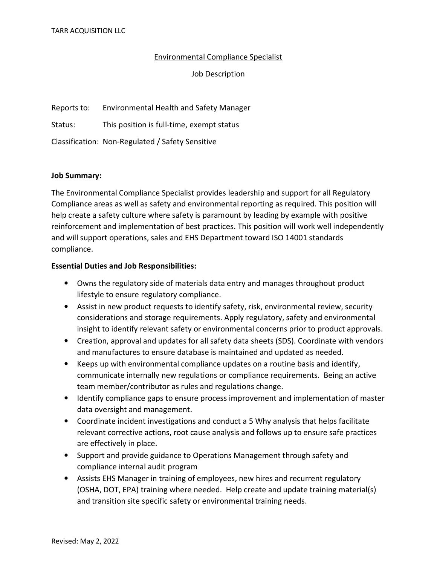## Environmental Compliance Specialist

## Job Description

Reports to: Environmental Health and Safety Manager

Status: This position is full-time, exempt status

Classification: Non-Regulated / Safety Sensitive

## **Job Summary:**

The Environmental Compliance Specialist provides leadership and support for all Regulatory Compliance areas as well as safety and environmental reporting as required. This position will help create a safety culture where safety is paramount by leading by example with positive reinforcement and implementation of best practices. This position will work well independently and will support operations, sales and EHS Department toward ISO 14001 standards compliance.

## **Essential Duties and Job Responsibilities:**

- Owns the regulatory side of materials data entry and manages throughout product lifestyle to ensure regulatory compliance.
- Assist in new product requests to identify safety, risk, environmental review, security considerations and storage requirements. Apply regulatory, safety and environmental insight to identify relevant safety or environmental concerns prior to product approvals.
- Creation, approval and updates for all safety data sheets (SDS). Coordinate with vendors and manufactures to ensure database is maintained and updated as needed.
- Keeps up with environmental compliance updates on a routine basis and identify, communicate internally new regulations or compliance requirements. Being an active team member/contributor as rules and regulations change.
- Identify compliance gaps to ensure process improvement and implementation of master data oversight and management.
- Coordinate incident investigations and conduct a 5 Why analysis that helps facilitate relevant corrective actions, root cause analysis and follows up to ensure safe practices are effectively in place.
- Support and provide guidance to Operations Management through safety and compliance internal audit program
- Assists EHS Manager in training of employees, new hires and recurrent regulatory (OSHA, DOT, EPA) training where needed. Help create and update training material(s) and transition site specific safety or environmental training needs.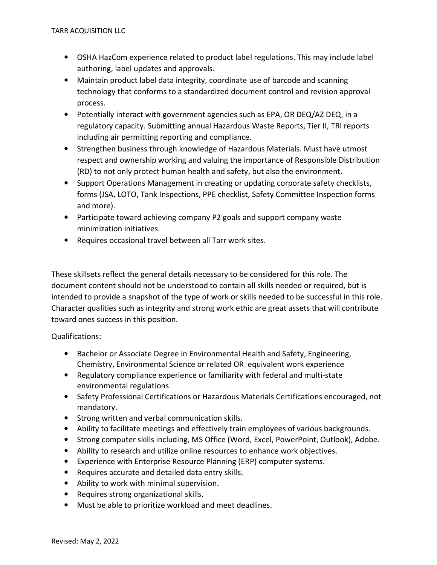- OSHA HazCom experience related to product label regulations. This may include label authoring, label updates and approvals.
- Maintain product label data integrity, coordinate use of barcode and scanning technology that conforms to a standardized document control and revision approval process.
- Potentially interact with government agencies such as EPA, OR DEQ/AZ DEQ, in a regulatory capacity. Submitting annual Hazardous Waste Reports, Tier II, TRI reports including air permitting reporting and compliance.
- Strengthen business through knowledge of Hazardous Materials. Must have utmost respect and ownership working and valuing the importance of Responsible Distribution (RD) to not only protect human health and safety, but also the environment.
- Support Operations Management in creating or updating corporate safety checklists, forms (JSA, LOTO, Tank Inspections, PPE checklist, Safety Committee Inspection forms and more).
- Participate toward achieving company P2 goals and support company waste minimization initiatives.
- Requires occasional travel between all Tarr work sites.

These skillsets reflect the general details necessary to be considered for this role. The document content should not be understood to contain all skills needed or required, but is intended to provide a snapshot of the type of work or skills needed to be successful in this role. Character qualities such as integrity and strong work ethic are great assets that will contribute toward ones success in this position.

Qualifications:

- Bachelor or Associate Degree in Environmental Health and Safety, Engineering, Chemistry, Environmental Science or related OR equivalent work experience
- Regulatory compliance experience or familiarity with federal and multi-state environmental regulations
- Safety Professional Certifications or Hazardous Materials Certifications encouraged, not mandatory.
- Strong written and verbal communication skills.
- Ability to facilitate meetings and effectively train employees of various backgrounds.
- Strong computer skills including, MS Office (Word, Excel, PowerPoint, Outlook), Adobe.
- Ability to research and utilize online resources to enhance work objectives.
- Experience with Enterprise Resource Planning (ERP) computer systems.
- Requires accurate and detailed data entry skills.
- Ability to work with minimal supervision.
- Requires strong organizational skills.
- Must be able to prioritize workload and meet deadlines.